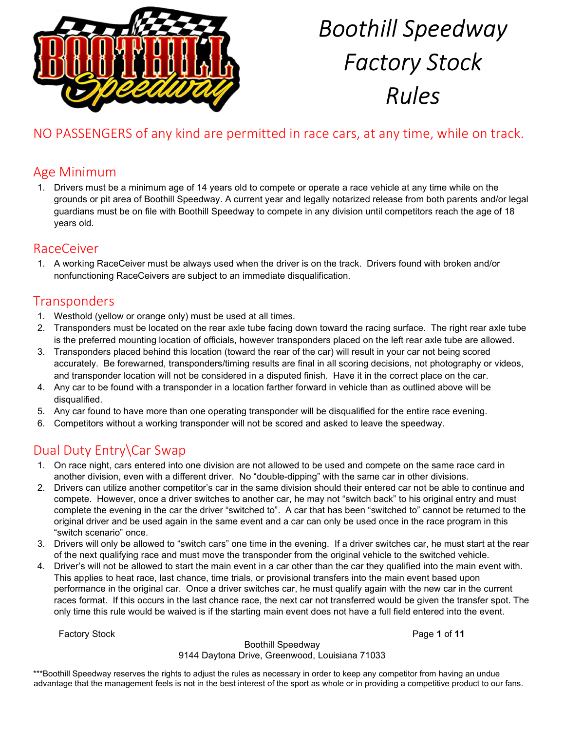

# NO PASSENGERS of any kind are permitted in race cars, at any time, while on track.

# Age Minimum

1. Drivers must be a minimum age of 14 years old to compete or operate a race vehicle at any time while on the grounds or pit area of Boothill Speedway. A current year and legally notarized release from both parents and/or legal guardians must be on file with Boothill Speedway to compete in any division until competitors reach the age of 18 years old.

### RaceCeiver

1. A working RaceCeiver must be always used when the driver is on the track. Drivers found with broken and/or nonfunctioning RaceCeivers are subject to an immediate disqualification.

# **Transponders**

- 1. Westhold (yellow or orange only) must be used at all times.
- 2. Transponders must be located on the rear axle tube facing down toward the racing surface. The right rear axle tube is the preferred mounting location of officials, however transponders placed on the left rear axle tube are allowed.
- 3. Transponders placed behind this location (toward the rear of the car) will result in your car not being scored accurately. Be forewarned, transponders/timing results are final in all scoring decisions, not photography or videos, and transponder location will not be considered in a disputed finish. Have it in the correct place on the car.
- 4. Any car to be found with a transponder in a location farther forward in vehicle than as outlined above will be disqualified.
- 5. Any car found to have more than one operating transponder will be disqualified for the entire race evening.
- 6. Competitors without a working transponder will not be scored and asked to leave the speedway.

# Dual Duty Entry\Car Swap

- 1. On race night, cars entered into one division are not allowed to be used and compete on the same race card in another division, even with a different driver. No "double-dipping" with the same car in other divisions.
- 2. Drivers can utilize another competitor's car in the same division should their entered car not be able to continue and compete. However, once a driver switches to another car, he may not "switch back" to his original entry and must complete the evening in the car the driver "switched to". A car that has been "switched to" cannot be returned to the original driver and be used again in the same event and a car can only be used once in the race program in this "switch scenario" once.
- 3. Drivers will only be allowed to "switch cars" one time in the evening. If a driver switches car, he must start at the rear of the next qualifying race and must move the transponder from the original vehicle to the switched vehicle.
- 4. Driver's will not be allowed to start the main event in a car other than the car they qualified into the main event with. This applies to heat race, last chance, time trials, or provisional transfers into the main event based upon performance in the original car. Once a driver switches car, he must qualify again with the new car in the current races format. If this occurs in the last chance race, the next car not transferred would be given the transfer spot. The only time this rule would be waived is if the starting main event does not have a full field entered into the event.

Factory Stock **Page 1 of 11** 

### Boothill Speedway

#### 9144 Daytona Drive, Greenwood, Louisiana 71033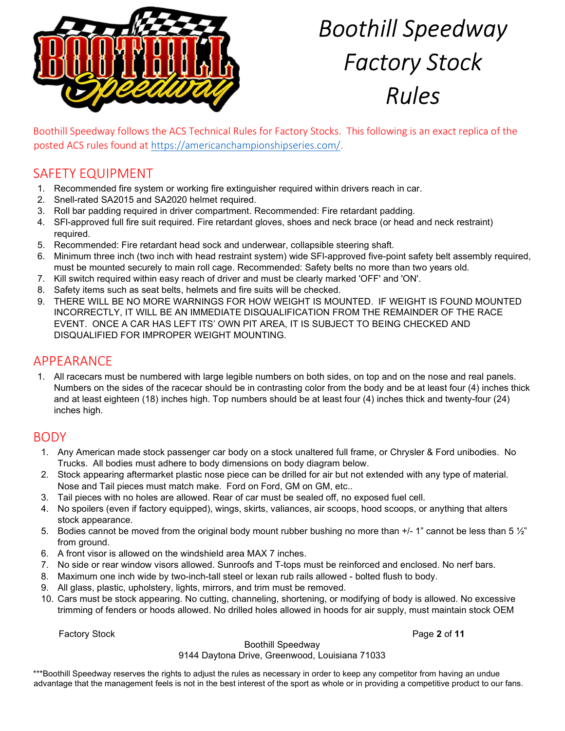

Boothill Speedway follows the ACS Technical Rules for Factory Stocks. This following is an exact replica of the posted ACS rules found at https://americanchampionshipseries.com/.

# SAFETY EQUIPMENT

- 1. Recommended fire system or working fire extinguisher required within drivers reach in car.
- 2. Snell-rated SA2015 and SA2020 helmet required.
- 3. Roll bar padding required in driver compartment. Recommended: Fire retardant padding.
- 4. SFl-approved full fire suit required. Fire retardant gloves, shoes and neck brace (or head and neck restraint) required.
- 5. Recommended: Fire retardant head sock and underwear, collapsible steering shaft.
- 6. Minimum three inch (two inch with head restraint system) wide SFl-approved five-point safety belt assembly required, must be mounted securely to main roll cage. Recommended: Safety belts no more than two years old.
- 7. Kill switch required within easy reach of driver and must be clearly marked 'OFF' and 'ON'.
- 8. Safety items such as seat belts, helmets and fire suits will be checked.
- 9. THERE WILL BE NO MORE WARNINGS FOR HOW WEIGHT IS MOUNTED. IF WEIGHT IS FOUND MOUNTED INCORRECTLY, IT WILL BE AN IMMEDIATE DISQUALIFICATION FROM THE REMAINDER OF THE RACE EVENT. ONCE A CAR HAS LEFT ITS' OWN PIT AREA, IT IS SUBJECT TO BEING CHECKED AND DISQUALIFIED FOR IMPROPER WEIGHT MOUNTING.

# APPEARANCE

1. All racecars must be numbered with large legible numbers on both sides, on top and on the nose and real panels. Numbers on the sides of the racecar should be in contrasting color from the body and be at least four (4) inches thick and at least eighteen (18) inches high. Top numbers should be at least four (4) inches thick and twenty-four (24) inches high.

### BODY

- 1. Any American made stock passenger car body on a stock unaltered full frame, or Chrysler & Ford unibodies. No Trucks. All bodies must adhere to body dimensions on body diagram below.
- 2. Stock appearing aftermarket plastic nose piece can be drilled for air but not extended with any type of material. Nose and Tail pieces must match make. Ford on Ford, GM on GM, etc..
- 3. Tail pieces with no holes are allowed. Rear of car must be sealed off, no exposed fuel cell.
- 4. No spoilers (even if factory equipped), wings, skirts, valiances, air scoops, hood scoops, or anything that alters stock appearance.
- 5. Bodies cannot be moved from the original body mount rubber bushing no more than +/- 1" cannot be less than 5  $\frac{1}{2}$ " from ground.
- 6. A front visor is allowed on the windshield area MAX 7 inches.
- 7. No side or rear window visors allowed. Sunroofs and T-tops must be reinforced and enclosed. No nerf bars.
- 8. Maximum one inch wide by two-inch-tall steel or lexan rub rails allowed bolted flush to body.
- 9. All glass, plastic, upholstery, lights, mirrors, and trim must be removed.
- 10. Cars must be stock appearing. No cutting, channeling, shortening, or modifying of body is allowed. No excessive trimming of fenders or hoods allowed. No drilled holes allowed in hoods for air supply, must maintain stock OEM

Factory Stock **Page 2 of 11** 

Boothill Speedway

#### 9144 Daytona Drive, Greenwood, Louisiana 71033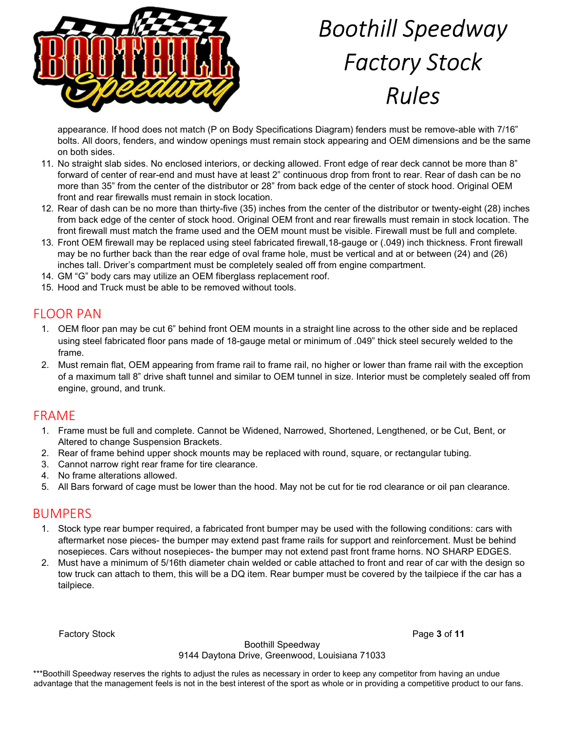

appearance. If hood does not match (P on Body Specifications Diagram) fenders must be remove-able with 7/16" bolts. All doors, fenders, and window openings must remain stock appearing and OEM dimensions and be the same on both sides.

- 11. No straight slab sides. No enclosed interiors, or decking allowed. Front edge of rear deck cannot be more than 8" forward of center of rear-end and must have at least 2" continuous drop from front to rear. Rear of dash can be no more than 35" from the center of the distributor or 28" from back edge of the center of stock hood. Original OEM front and rear firewalls must remain in stock location.
- 12. Rear of dash can be no more than thirty-five (35) inches from the center of the distributor or twenty-eight (28) inches from back edge of the center of stock hood. Original OEM front and rear firewalls must remain in stock location. The front firewall must match the frame used and the OEM mount must be visible. Firewall must be full and complete.
- 13. Front OEM firewall may be replaced using steel fabricated firewall,18-gauge or (.049) inch thickness. Front firewall may be no further back than the rear edge of oval frame hole, must be vertical and at or between (24) and (26) inches tall. Driver's compartment must be completely sealed off from engine compartment.
- 14. GM "G" body cars may utilize an OEM fiberglass replacement roof.
- 15. Hood and Truck must be able to be removed without tools.

# FLOOR PAN

- 1. OEM floor pan may be cut 6" behind front OEM mounts in a straight line across to the other side and be replaced using steel fabricated floor pans made of 18-gauge metal or minimum of .049" thick steel securely welded to the frame.
- 2. Must remain flat, OEM appearing from frame rail to frame rail, no higher or lower than frame rail with the exception of a maximum tall 8" drive shaft tunnel and similar to OEM tunnel in size. Interior must be completely sealed off from engine, ground, and trunk.

# FRAME

- 1. Frame must be full and complete. Cannot be Widened, Narrowed, Shortened, Lengthened, or be Cut, Bent, or Altered to change Suspension Brackets.
- 2. Rear of frame behind upper shock mounts may be replaced with round, square, or rectangular tubing.
- 3. Cannot narrow right rear frame for tire clearance.
- 4. No frame alterations allowed.
- 5. All Bars forward of cage must be lower than the hood. May not be cut for tie rod clearance or oil pan clearance.

# BUMPERS

- 1. Stock type rear bumper required, a fabricated front bumper may be used with the following conditions: cars with aftermarket nose pieces- the bumper may extend past frame rails for support and reinforcement. Must be behind nosepieces. Cars without nosepieces- the bumper may not extend past front frame horns. NO SHARP EDGES.
- 2. Must have a minimum of 5/16th diameter chain welded or cable attached to front and rear of car with the design so tow truck can attach to them, this will be a DQ item. Rear bumper must be covered by the tailpiece if the car has a tailpiece.

Factory Stock **Page 3 of 11** 

Boothill Speedway

9144 Daytona Drive, Greenwood, Louisiana 71033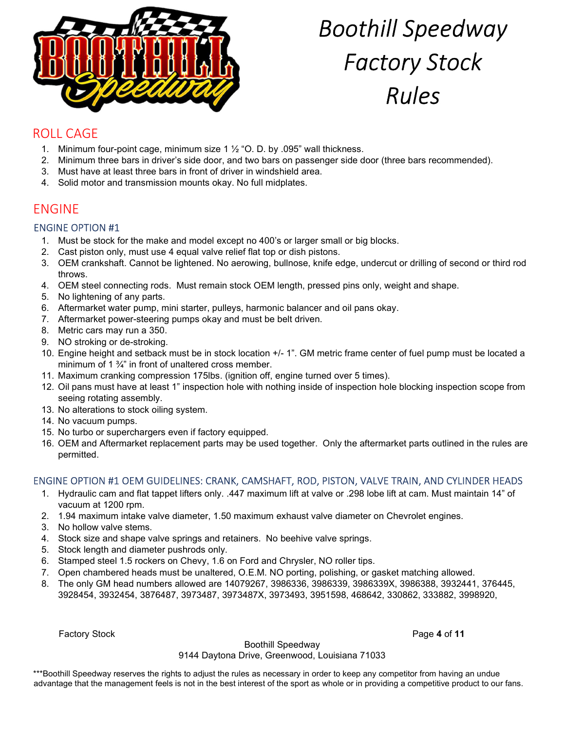

# ROLL CAGE

- 1. Minimum four-point cage, minimum size 1 ½ "O. D. by .095" wall thickness.
- 2. Minimum three bars in driver's side door, and two bars on passenger side door (three bars recommended).
- 3. Must have at least three bars in front of driver in windshield area.
- 4. Solid motor and transmission mounts okay. No full midplates.

# ENGINE

#### ENGINE OPTION #1

- 1. Must be stock for the make and model except no 400's or larger small or big blocks.
- 2. Cast piston only, must use 4 equal valve relief flat top or dish pistons.
- 3. OEM crankshaft. Cannot be lightened. No aerowing, bullnose, knife edge, undercut or drilling of second or third rod throws.
- 4. OEM steel connecting rods. Must remain stock OEM length, pressed pins only, weight and shape.
- 5. No lightening of any parts.
- 6. Aftermarket water pump, mini starter, pulleys, harmonic balancer and oil pans okay.
- 7. Aftermarket power-steering pumps okay and must be belt driven.
- 8. Metric cars may run a 350.
- 9. NO stroking or de-stroking.
- 10. Engine height and setback must be in stock location +/- 1". GM metric frame center of fuel pump must be located a minimum of 1 ¾" in front of unaltered cross member.
- 11. Maximum cranking compression 175lbs. (ignition off, engine turned over 5 times).
- 12. Oil pans must have at least 1" inspection hole with nothing inside of inspection hole blocking inspection scope from seeing rotating assembly.
- 13. No alterations to stock oiling system.
- 14. No vacuum pumps.
- 15. No turbo or superchargers even if factory equipped.
- 16. OEM and Aftermarket replacement parts may be used together. Only the aftermarket parts outlined in the rules are permitted.

#### ENGINE OPTION #1 OEM GUIDELINES: CRANK, CAMSHAFT, ROD, PISTON, VALVE TRAIN, AND CYLINDER HEADS

- 1. Hydraulic cam and flat tappet lifters only. .447 maximum lift at valve or .298 lobe lift at cam. Must maintain 14" of vacuum at 1200 rpm.
- 2. 1.94 maximum intake valve diameter, 1.50 maximum exhaust valve diameter on Chevrolet engines.
- 3. No hollow valve stems.
- 4. Stock size and shape valve springs and retainers. No beehive valve springs.
- 5. Stock length and diameter pushrods only.
- 6. Stamped steel 1.5 rockers on Chevy, 1.6 on Ford and Chrysler, NO roller tips.
- 7. Open chambered heads must be unaltered, O.E.M. NO porting, polishing, or gasket matching allowed.
- 8. The only GM head numbers allowed are 14079267, 3986336, 3986339, 3986339X, 3986388, 3932441, 376445, 3928454, 3932454, 3876487, 3973487, 3973487X, 3973493, 3951598, 468642, 330862, 333882, 3998920,

Factory Stock **Page 4 of 11** 

Boothill Speedway

#### 9144 Daytona Drive, Greenwood, Louisiana 71033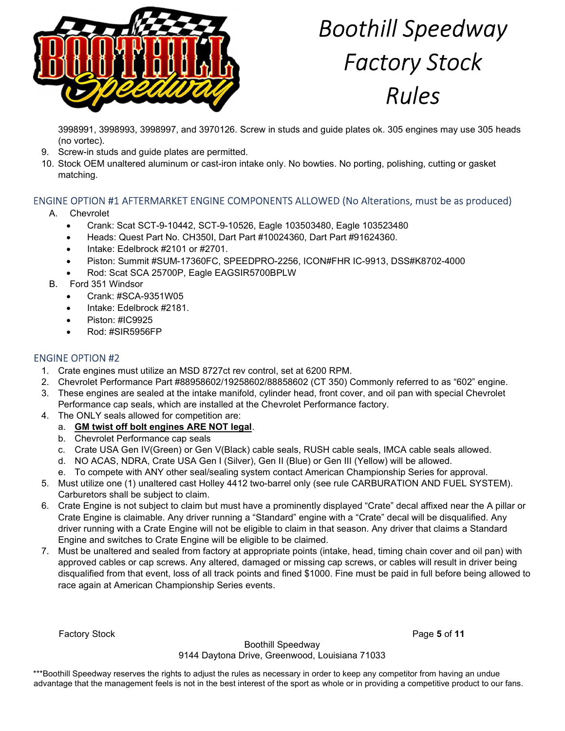

3998991, 3998993, 3998997, and 3970126. Screw in studs and guide plates ok. 305 engines may use 305 heads (no vortec).

- 9. Screw-in studs and guide plates are permitted.
- 10. Stock OEM unaltered aluminum or cast-iron intake only. No bowties. No porting, polishing, cutting or gasket matching.

### ENGINE OPTION #1 AFTERMARKET ENGINE COMPONENTS ALLOWED (No Alterations, must be as produced)

#### A. Chevrolet

- Crank: Scat SCT-9-10442, SCT-9-10526, Eagle 103503480, Eagle 103523480
- Heads: Quest Part No. CH350I, Dart Part #10024360, Dart Part #91624360.
- Intake: Edelbrock #2101 or #2701.
- Piston: Summit #SUM-17360FC, SPEEDPRO-2256, ICON#FHR IC-9913, DSS#K8702-4000
- Rod: Scat SCA 25700P, Eagle EAGSIR5700BPLW
- B. Ford 351 Windsor
	- Crank: #SCA-9351W05
	- Intake: Edelbrock #2181.
	- Piston: #IC9925
	- Rod: #SIR5956FP

#### ENGINE OPTION #2

- 1. Crate engines must utilize an MSD 8727ct rev control, set at 6200 RPM.
- 2. Chevrolet Performance Part #88958602/19258602/88858602 (CT 350) Commonly referred to as "602" engine.
- 3. These engines are sealed at the intake manifold, cylinder head, front cover, and oil pan with special Chevrolet Performance cap seals, which are installed at the Chevrolet Performance factory.
- 4. The ONLY seals allowed for competition are:
	- a. GM twist off bolt engines ARE NOT legal.
	- b. Chevrolet Performance cap seals
	- c. Crate USA Gen IV(Green) or Gen V(Black) cable seals, RUSH cable seals, IMCA cable seals allowed.
	- d. NO ACAS, NDRA, Crate USA Gen I (Silver), Gen II (Blue) or Gen III (Yellow) will be allowed.
	- e. To compete with ANY other seal/sealing system contact American Championship Series for approval.
- 5. Must utilize one (1) unaltered cast Holley 4412 two-barrel only (see rule CARBURATION AND FUEL SYSTEM). Carburetors shall be subject to claim.
- 6. Crate Engine is not subject to claim but must have a prominently displayed "Crate" decal affixed near the A pillar or Crate Engine is claimable. Any driver running a "Standard" engine with a "Crate" decal will be disqualified. Any driver running with a Crate Engine will not be eligible to claim in that season. Any driver that claims a Standard Engine and switches to Crate Engine will be eligible to be claimed.
- 7. Must be unaltered and sealed from factory at appropriate points (intake, head, timing chain cover and oil pan) with approved cables or cap screws. Any altered, damaged or missing cap screws, or cables will result in driver being disqualified from that event, loss of all track points and fined \$1000. Fine must be paid in full before being allowed to race again at American Championship Series events.

**Factory Stock** Page 5 of 11

Boothill Speedway 9144 Daytona Drive, Greenwood, Louisiana 71033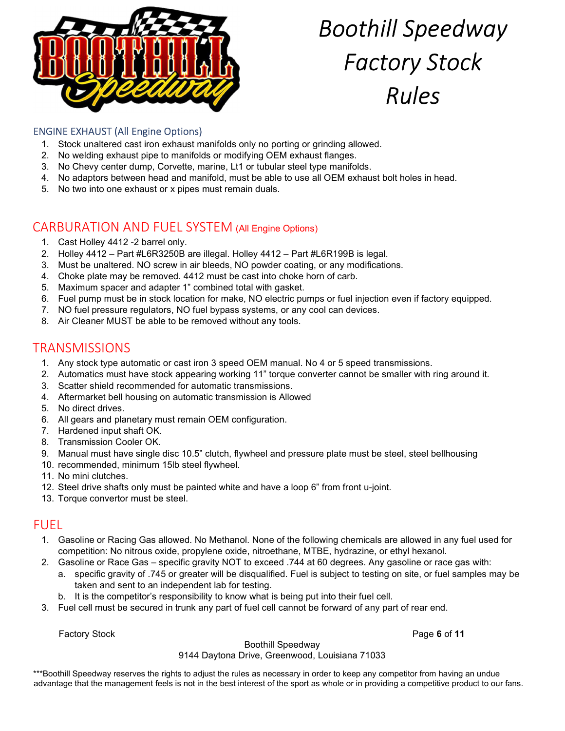

### ENGINE EXHAUST (All Engine Options)

- 1. Stock unaltered cast iron exhaust manifolds only no porting or grinding allowed.
- 2. No welding exhaust pipe to manifolds or modifying OEM exhaust flanges.
- 3. No Chevy center dump, Corvette, marine, Lt1 or tubular steel type manifolds.
- 4. No adaptors between head and manifold, must be able to use all OEM exhaust bolt holes in head.
- 5. No two into one exhaust or x pipes must remain duals.

# CARBURATION AND FUEL SYSTEM (All Engine Options)

- 1. Cast Holley 4412 -2 barrel only.
- 2. Holley 4412 Part #L6R3250B are illegal. Holley 4412 Part #L6R199B is legal.
- 3. Must be unaltered. NO screw in air bleeds, NO powder coating, or any modifications.
- 4. Choke plate may be removed. 4412 must be cast into choke horn of carb.
- 5. Maximum spacer and adapter 1" combined total with gasket.
- 6. Fuel pump must be in stock location for make, NO electric pumps or fuel injection even if factory equipped.
- 7. NO fuel pressure regulators, NO fuel bypass systems, or any cool can devices.
- 8. Air Cleaner MUST be able to be removed without any tools.

### **TRANSMISSIONS**

- 1. Any stock type automatic or cast iron 3 speed OEM manual. No 4 or 5 speed transmissions.
- 2. Automatics must have stock appearing working 11" torque converter cannot be smaller with ring around it.
- 3. Scatter shield recommended for automatic transmissions.
- 4. Aftermarket bell housing on automatic transmission is Allowed
- 5. No direct drives.
- 6. All gears and planetary must remain OEM configuration.
- 7. Hardened input shaft OK.
- 8. Transmission Cooler OK.
- 9. Manual must have single disc 10.5" clutch, flywheel and pressure plate must be steel, steel bellhousing
- 10. recommended, minimum 15lb steel flywheel.
- 11. No mini clutches.
- 12. Steel drive shafts only must be painted white and have a loop 6" from front u-joint.
- 13. Torque convertor must be steel.

### FUEL

- 1. Gasoline or Racing Gas allowed. No Methanol. None of the following chemicals are allowed in any fuel used for competition: No nitrous oxide, propylene oxide, nitroethane, MTBE, hydrazine, or ethyl hexanol.
- 2. Gasoline or Race Gas specific gravity NOT to exceed .744 at 60 degrees. Any gasoline or race gas with:
	- a. specific gravity of .745 or greater will be disqualified. Fuel is subject to testing on site, or fuel samples may be taken and sent to an independent lab for testing.
	- b. It is the competitor's responsibility to know what is being put into their fuel cell.
- 3. Fuel cell must be secured in trunk any part of fuel cell cannot be forward of any part of rear end.

Factory Stock **Page 6 of 11** 

#### Boothill Speedway

#### 9144 Daytona Drive, Greenwood, Louisiana 71033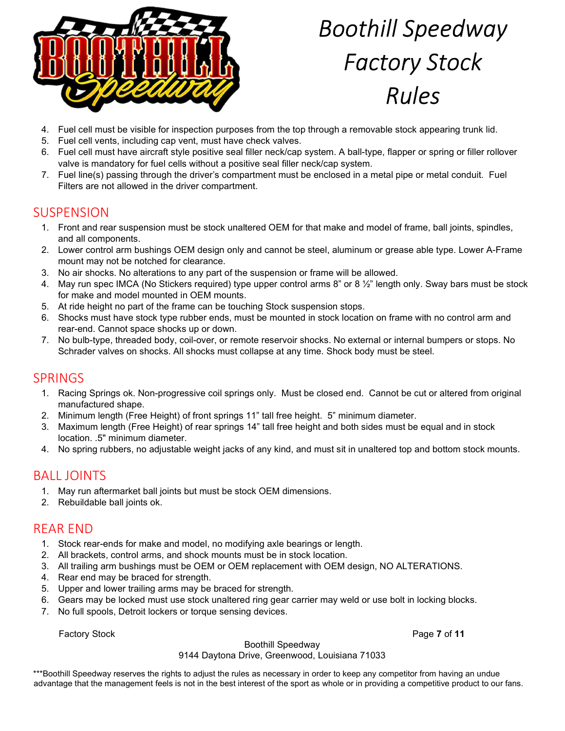

- 4. Fuel cell must be visible for inspection purposes from the top through a removable stock appearing trunk lid.
- 5. Fuel cell vents, including cap vent, must have check valves.
- 6. Fuel cell must have aircraft style positive seal filler neck/cap system. A ball-type, flapper or spring or filler rollover valve is mandatory for fuel cells without a positive seal filler neck/cap system.
- 7. Fuel line(s) passing through the driver's compartment must be enclosed in a metal pipe or metal conduit. Fuel Filters are not allowed in the driver compartment.

# **SUSPENSION**

- 1. Front and rear suspension must be stock unaltered OEM for that make and model of frame, ball joints, spindles, and all components.
- 2. Lower control arm bushings OEM design only and cannot be steel, aluminum or grease able type. Lower A-Frame mount may not be notched for clearance.
- 3. No air shocks. No alterations to any part of the suspension or frame will be allowed.
- 4. May run spec IMCA (No Stickers required) type upper control arms 8" or 8 1/2" length only. Sway bars must be stock for make and model mounted in OEM mounts.
- 5. At ride height no part of the frame can be touching Stock suspension stops.
- 6. Shocks must have stock type rubber ends, must be mounted in stock location on frame with no control arm and rear-end. Cannot space shocks up or down.
- 7. No bulb-type, threaded body, coil-over, or remote reservoir shocks. No external or internal bumpers or stops. No Schrader valves on shocks. All shocks must collapse at any time. Shock body must be steel.

### SPRINGS

- 1. Racing Springs ok. Non-progressive coil springs only. Must be closed end. Cannot be cut or altered from original manufactured shape.
- 2. Minimum length (Free Height) of front springs 11" tall free height. 5" minimum diameter.
- 3. Maximum length (Free Height) of rear springs 14" tall free height and both sides must be equal and in stock location. .5" minimum diameter.
- 4. No spring rubbers, no adjustable weight jacks of any kind, and must sit in unaltered top and bottom stock mounts.

# BALL JOINTS

- 1. May run aftermarket ball joints but must be stock OEM dimensions.
- 2. Rebuildable ball joints ok.

# REAR END

- 1. Stock rear-ends for make and model, no modifying axle bearings or length.
- 2. All brackets, control arms, and shock mounts must be in stock location.
- 3. All trailing arm bushings must be OEM or OEM replacement with OEM design, NO ALTERATIONS.
- 4. Rear end may be braced for strength.
- 5. Upper and lower trailing arms may be braced for strength.
- 6. Gears may be locked must use stock unaltered ring gear carrier may weld or use bolt in locking blocks.
- 7. No full spools, Detroit lockers or torque sensing devices.

Factory Stock **Page 7 of 11** 

#### Boothill Speedway

#### 9144 Daytona Drive, Greenwood, Louisiana 71033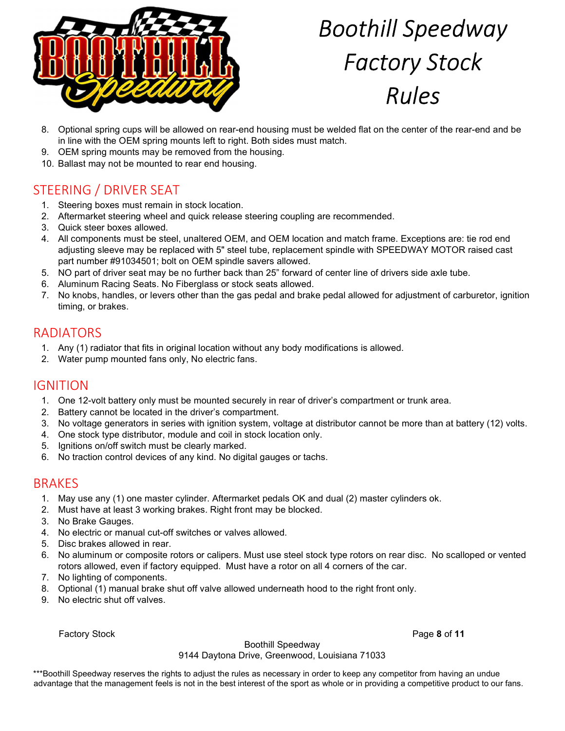

- 8. Optional spring cups will be allowed on rear-end housing must be welded flat on the center of the rear-end and be in line with the OEM spring mounts left to right. Both sides must match.
- 9. OEM spring mounts may be removed from the housing.
- 10. Ballast may not be mounted to rear end housing.

# STEERING / DRIVER SEAT

- 1. Steering boxes must remain in stock location.
- 2. Aftermarket steering wheel and quick release steering coupling are recommended.
- 3. Quick steer boxes allowed.
- 4. All components must be steel, unaltered OEM, and OEM location and match frame. Exceptions are: tie rod end adjusting sleeve may be replaced with 5" steel tube, replacement spindle with SPEEDWAY MOTOR raised cast part number #91034501; bolt on OEM spindle savers allowed.
- 5. NO part of driver seat may be no further back than 25" forward of center line of drivers side axle tube.
- 6. Aluminum Racing Seats. No Fiberglass or stock seats allowed.
- 7. No knobs, handles, or levers other than the gas pedal and brake pedal allowed for adjustment of carburetor, ignition timing, or brakes.

### RADIATORS

- 1. Any (1) radiator that fits in original location without any body modifications is allowed.
- 2. Water pump mounted fans only, No electric fans.

### IGNITION

- 1. One 12-volt battery only must be mounted securely in rear of driver's compartment or trunk area.
- 2. Battery cannot be located in the driver's compartment.
- 3. No voltage generators in series with ignition system, voltage at distributor cannot be more than at battery (12) volts.
- 4. One stock type distributor, module and coil in stock location only.
- 5. Ignitions on/off switch must be clearly marked.
- 6. No traction control devices of any kind. No digital gauges or tachs.

# **BRAKES**

- 1. May use any (1) one master cylinder. Aftermarket pedals OK and dual (2) master cylinders ok.
- 2. Must have at least 3 working brakes. Right front may be blocked.
- 3. No Brake Gauges.
- 4. No electric or manual cut-off switches or valves allowed.
- 5. Disc brakes allowed in rear.
- 6. No aluminum or composite rotors or calipers. Must use steel stock type rotors on rear disc. No scalloped or vented rotors allowed, even if factory equipped. Must have a rotor on all 4 corners of the car.
- 7. No lighting of components.
- 8. Optional (1) manual brake shut off valve allowed underneath hood to the right front only.
- 9. No electric shut off valves.

Factory Stock **Page 8 of 11** 

Boothill Speedway

9144 Daytona Drive, Greenwood, Louisiana 71033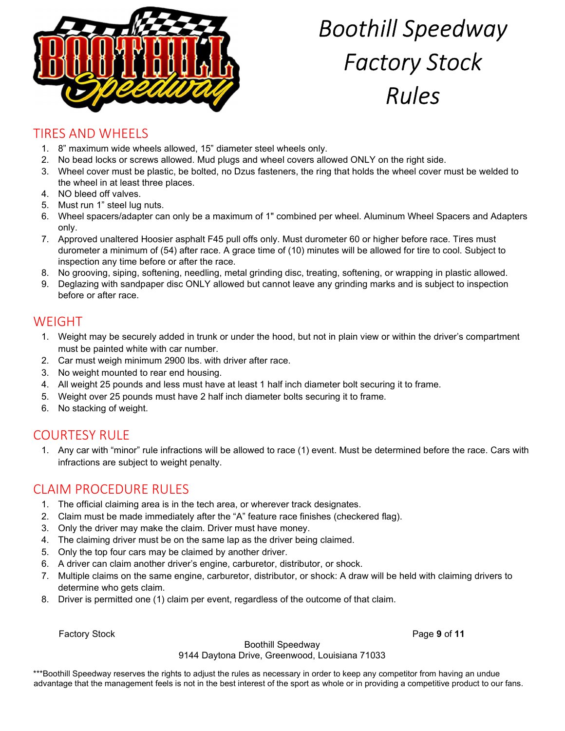

# TIRES AND WHEELS

- 1. 8" maximum wide wheels allowed, 15" diameter steel wheels only.
- 2. No bead locks or screws allowed. Mud plugs and wheel covers allowed ONLY on the right side.
- 3. Wheel cover must be plastic, be bolted, no Dzus fasteners, the ring that holds the wheel cover must be welded to the wheel in at least three places.
- 4. NO bleed off valves.
- 5. Must run 1" steel lug nuts.
- 6. Wheel spacers/adapter can only be a maximum of 1" combined per wheel. Aluminum Wheel Spacers and Adapters only.
- 7. Approved unaltered Hoosier asphalt F45 pull offs only. Must durometer 60 or higher before race. Tires must durometer a minimum of (54) after race. A grace time of (10) minutes will be allowed for tire to cool. Subject to inspection any time before or after the race.
- 8. No grooving, siping, softening, needling, metal grinding disc, treating, softening, or wrapping in plastic allowed.
- 9. Deglazing with sandpaper disc ONLY allowed but cannot leave any grinding marks and is subject to inspection before or after race.

### WEIGHT

- 1. Weight may be securely added in trunk or under the hood, but not in plain view or within the driver's compartment must be painted white with car number.
- 2. Car must weigh minimum 2900 lbs. with driver after race.
- 3. No weight mounted to rear end housing.
- 4. All weight 25 pounds and less must have at least 1 half inch diameter bolt securing it to frame.
- 5. Weight over 25 pounds must have 2 half inch diameter bolts securing it to frame.
- 6. No stacking of weight.

# COURTESY RULE

1. Any car with "minor" rule infractions will be allowed to race (1) event. Must be determined before the race. Cars with infractions are subject to weight penalty.

### CLAIM PROCEDURE RULES

- 1. The official claiming area is in the tech area, or wherever track designates.
- 2. Claim must be made immediately after the "A" feature race finishes (checkered flag).
- 3. Only the driver may make the claim. Driver must have money.
- 4. The claiming driver must be on the same lap as the driver being claimed.
- 5. Only the top four cars may be claimed by another driver.
- 6. A driver can claim another driver's engine, carburetor, distributor, or shock.
- 7. Multiple claims on the same engine, carburetor, distributor, or shock: A draw will be held with claiming drivers to determine who gets claim.
- 8. Driver is permitted one (1) claim per event, regardless of the outcome of that claim.

Factory Stock **Page 9 of 11** 

Boothill Speedway

9144 Daytona Drive, Greenwood, Louisiana 71033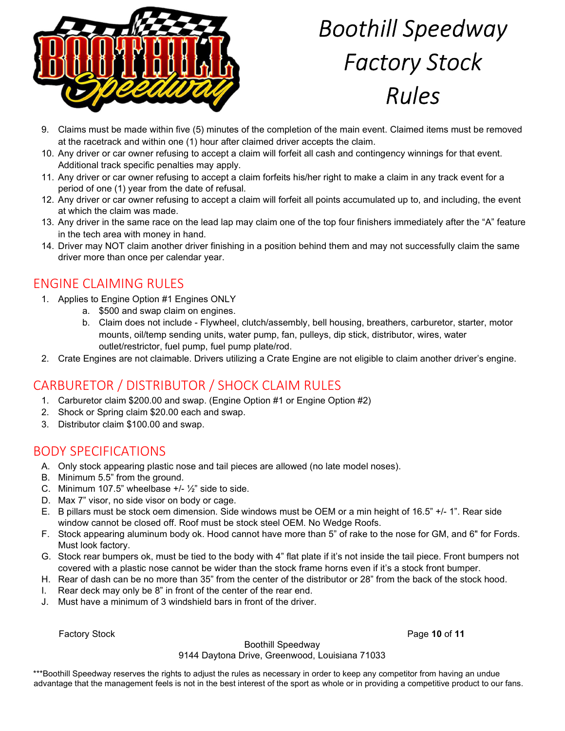

- 9. Claims must be made within five (5) minutes of the completion of the main event. Claimed items must be removed at the racetrack and within one (1) hour after claimed driver accepts the claim.
- 10. Any driver or car owner refusing to accept a claim will forfeit all cash and contingency winnings for that event. Additional track specific penalties may apply.
- 11. Any driver or car owner refusing to accept a claim forfeits his/her right to make a claim in any track event for a period of one (1) year from the date of refusal.
- 12. Any driver or car owner refusing to accept a claim will forfeit all points accumulated up to, and including, the event at which the claim was made.
- 13. Any driver in the same race on the lead lap may claim one of the top four finishers immediately after the "A" feature in the tech area with money in hand.
- 14. Driver may NOT claim another driver finishing in a position behind them and may not successfully claim the same driver more than once per calendar year.

# ENGINE CLAIMING RULES

- 1. Applies to Engine Option #1 Engines ONLY
	- a. \$500 and swap claim on engines.
	- b. Claim does not include Flywheel, clutch/assembly, bell housing, breathers, carburetor, starter, motor mounts, oil/temp sending units, water pump, fan, pulleys, dip stick, distributor, wires, water outlet/restrictor, fuel pump, fuel pump plate/rod.
- 2. Crate Engines are not claimable. Drivers utilizing a Crate Engine are not eligible to claim another driver's engine.

# CARBURETOR / DISTRIBUTOR / SHOCK CLAIM RULES

- 1. Carburetor claim \$200.00 and swap. (Engine Option #1 or Engine Option #2)
- 2. Shock or Spring claim \$20.00 each and swap.
- 3. Distributor claim \$100.00 and swap.

# BODY SPECIFICATIONS

- A. Only stock appearing plastic nose and tail pieces are allowed (no late model noses).
- B. Minimum 5.5" from the ground.
- C. Minimum 107.5" wheelbase  $+/-\frac{1}{2}$ " side to side.
- D. Max 7" visor, no side visor on body or cage.
- E. B pillars must be stock oem dimension. Side windows must be OEM or a min height of 16.5" +/- 1". Rear side window cannot be closed off. Roof must be stock steel OEM. No Wedge Roofs.
- F. Stock appearing aluminum body ok. Hood cannot have more than 5" of rake to the nose for GM, and 6" for Fords. Must look factory.
- G. Stock rear bumpers ok, must be tied to the body with 4" flat plate if it's not inside the tail piece. Front bumpers not covered with a plastic nose cannot be wider than the stock frame horns even if it's a stock front bumper.
- H. Rear of dash can be no more than 35" from the center of the distributor or 28" from the back of the stock hood.
- I. Rear deck may only be 8" in front of the center of the rear end.
- J. Must have a minimum of 3 windshield bars in front of the driver.

Factory Stock **Page 10 of 11** 

#### Boothill Speedway

9144 Daytona Drive, Greenwood, Louisiana 71033